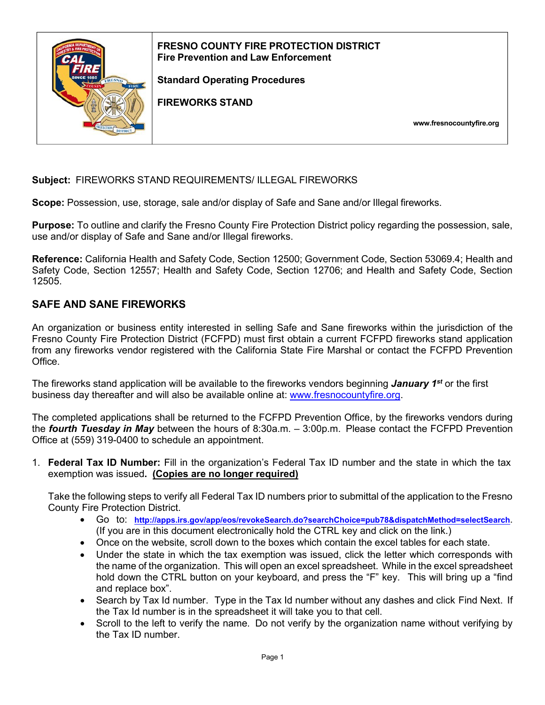

**Subject:** FIREWORKS STAND REQUIREMENTS/ ILLEGAL FIREWORKS

**Scope:** Possession, use, storage, sale and/or display of Safe and Sane and/or Illegal fireworks.

**Purpose:** To outline and clarify the Fresno County Fire Protection District policy regarding the possession, sale, use and/or display of Safe and Sane and/or Illegal fireworks.

**Reference:** California Health and Safety Code, Section 12500; Government Code, Section 53069.4; Health and Safety Code, Section 12557; Health and Safety Code, Section 12706; and Health and Safety Code, Section 12505.

### **SAFE AND SANE FIREWORKS**

An organization or business entity interested in selling Safe and Sane fireworks within the jurisdiction of the Fresno County Fire Protection District (FCFPD) must first obtain a current FCFPD fireworks stand application from any fireworks vendor registered with the California State Fire Marshal or contact the FCFPD Prevention Office.

The fireworks stand application will be available to the fireworks vendors beginning *January 1st* or the first business day thereafter and will also be available online at: [www.fresnocountyfire.org.](http://www.fresnocountyfire.org/)

The completed applications shall be returned to the FCFPD Prevention Office, by the fireworks vendors during the *fourth Tuesday in May* between the hours of 8:30a.m. – 3:00p.m. Please contact the FCFPD Prevention Office at (559) 319-0400 to schedule an appointment.

1. **Federal Tax ID Number:** Fill in the organization's Federal Tax ID number and the state in which the tax exemption was issued**. (Copies are no longer required)**

Take the following steps to verify all Federal Tax ID numbers prior to submittal of the application to the Fresno County Fire Protection District.

- Go to: **<http://apps.irs.gov/app/eos/revokeSearch.do?searchChoice=pub78&dispatchMethod=selectSearch>**. (If you are in this document electronically hold the CTRL key and click on the link.)
- Once on the website, scroll down to the boxes which contain the excel tables for each state.
- Under the state in which the tax exemption was issued, click the letter which corresponds with the name of the organization. This will open an excel spreadsheet. While in the excel spreadsheet hold down the CTRL button on your keyboard, and press the "F" key. This will bring up a "find and replace box".
- Search by Tax Id number. Type in the Tax Id number without any dashes and click Find Next. If the Tax Id number is in the spreadsheet it will take you to that cell.
- Scroll to the left to verify the name. Do not verify by the organization name without verifying by the Tax ID number.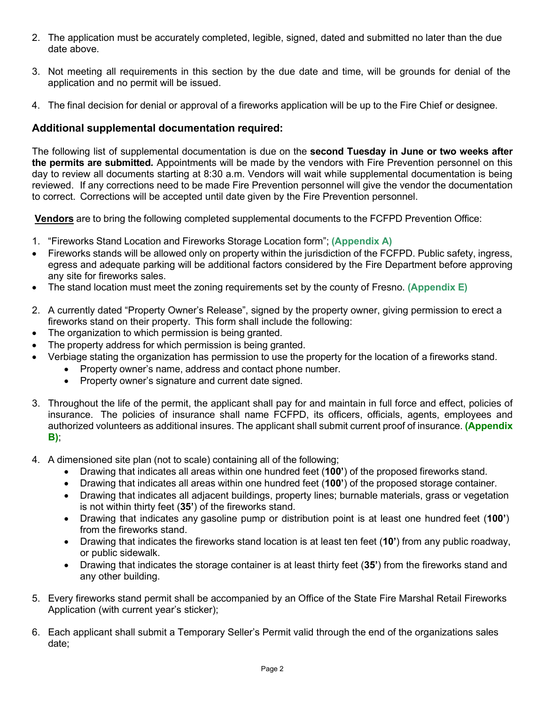- 2. The application must be accurately completed, legible, signed, dated and submitted no later than the due date above.
- 3. Not meeting all requirements in this section by the due date and time, will be grounds for denial of the application and no permit will be issued.
- 4. The final decision for denial or approval of a fireworks application will be up to the Fire Chief or designee.

## **Additional supplemental documentation required:**

The following list of supplemental documentation is due on the **second Tuesday in June or two weeks after the permits are submitted***.* Appointments will be made by the vendors with Fire Prevention personnel on this day to review all documents starting at 8:30 a.m. Vendors will wait while supplemental documentation is being reviewed. If any corrections need to be made Fire Prevention personnel will give the vendor the documentation to correct. Corrections will be accepted until date given by the Fire Prevention personnel.

**Vendors** are to bring the following completed supplemental documents to the FCFPD Prevention Office:

- 1. "Fireworks Stand Location and Fireworks Storage Location form"; **(Appendix A)**
- Fireworks stands will be allowed only on property within the jurisdiction of the FCFPD. Public safety, ingress, egress and adequate parking will be additional factors considered by the Fire Department before approving any site for fireworks sales.
- The stand location must meet the zoning requirements set by the county of Fresno. **(Appendix E)**
- 2. A currently dated "Property Owner's Release", signed by the property owner, giving permission to erect a fireworks stand on their property. This form shall include the following:
- The organization to which permission is being granted.
- The property address for which permission is being granted.
- Verbiage stating the organization has permission to use the property for the location of a fireworks stand.
	- Property owner's name, address and contact phone number.
	- Property owner's signature and current date signed.
- 3. Throughout the life of the permit, the applicant shall pay for and maintain in full force and effect, policies of insurance. The policies of insurance shall name FCFPD, its officers, officials, agents, employees and authorized volunteers as additional insures. The applicant shall submit current proof of insurance. **(Appendix B)**;
- 4. A dimensioned site plan (not to scale) containing all of the following;
	- Drawing that indicates all areas within one hundred feet (**100'**) of the proposed fireworks stand.
	- Drawing that indicates all areas within one hundred feet (**100'**) of the proposed storage container.
	- Drawing that indicates all adjacent buildings, property lines; burnable materials, grass or vegetation is not within thirty feet (**35'**) of the fireworks stand.
	- Drawing that indicates any gasoline pump or distribution point is at least one hundred feet (**100'**) from the fireworks stand.
	- Drawing that indicates the fireworks stand location is at least ten feet (**10'**) from any public roadway, or public sidewalk.
	- Drawing that indicates the storage container is at least thirty feet (**35'**) from the fireworks stand and any other building.
- 5. Every fireworks stand permit shall be accompanied by an Office of the State Fire Marshal Retail Fireworks Application (with current year's sticker);
- 6. Each applicant shall submit a Temporary Seller's Permit valid through the end of the organizations sales date;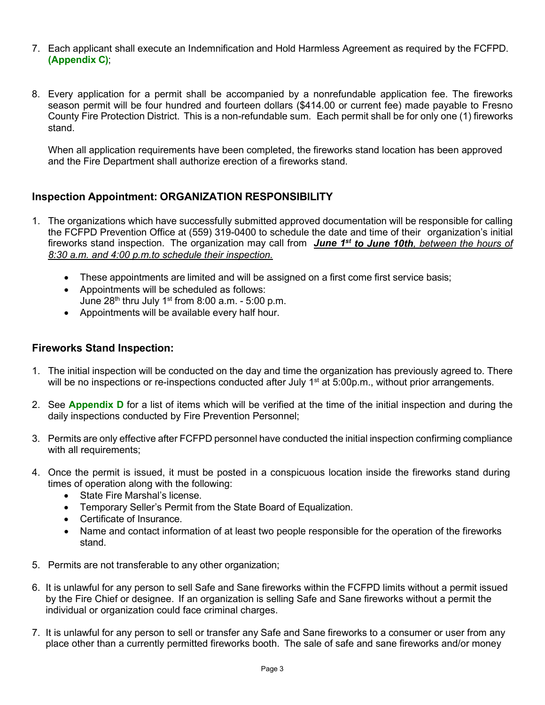- 7. Each applicant shall execute an Indemnification and Hold Harmless Agreement as required by the FCFPD. **(Appendix C)**;
- 8. Every application for a permit shall be accompanied by a nonrefundable application fee. The fireworks season permit will be four hundred and fourteen dollars (\$414.00 or current fee) made payable to Fresno County Fire Protection District. This is a non-refundable sum. Each permit shall be for only one (1) fireworks stand.

When all application requirements have been completed, the fireworks stand location has been approved and the Fire Department shall authorize erection of a fireworks stand.

# **Inspection Appointment: ORGANIZATION RESPONSIBILITY**

- 1. The organizations which have successfully submitted approved documentation will be responsible for calling the FCFPD Prevention Office at (559) 319-0400 to schedule the date and time of their organization's initial fireworks stand inspection. The organization may call from *June 1st to June 10th, between the hours of 8:30 a.m. and 4:00 p.m.to schedule their inspection.*
	- These appointments are limited and will be assigned on a first come first service basis;
	- Appointments will be scheduled as follows: June  $28<sup>th</sup>$  thru July 1<sup>st</sup> from 8:00 a.m. - 5:00 p.m.
	- Appointments will be available every half hour.

## **Fireworks Stand Inspection:**

- 1. The initial inspection will be conducted on the day and time the organization has previously agreed to. There will be no inspections or re-inspections conducted after July 1<sup>st</sup> at 5:00p.m., without prior arrangements.
- 2. See **Appendix D** for a list of items which will be verified at the time of the initial inspection and during the daily inspections conducted by Fire Prevention Personnel;
- 3. Permits are only effective after FCFPD personnel have conducted the initial inspection confirming compliance with all requirements;
- 4. Once the permit is issued, it must be posted in a conspicuous location inside the fireworks stand during times of operation along with the following:
	- State Fire Marshal's license.
	- Temporary Seller's Permit from the State Board of Equalization.
	- Certificate of Insurance.
	- Name and contact information of at least two people responsible for the operation of the fireworks stand.
- 5. Permits are not transferable to any other organization;
- 6. It is unlawful for any person to sell Safe and Sane fireworks within the FCFPD limits without a permit issued by the Fire Chief or designee. If an organization is selling Safe and Sane fireworks without a permit the individual or organization could face criminal charges.
- 7. It is unlawful for any person to sell or transfer any Safe and Sane fireworks to a consumer or user from any place other than a currently permitted fireworks booth. The sale of safe and sane fireworks and/or money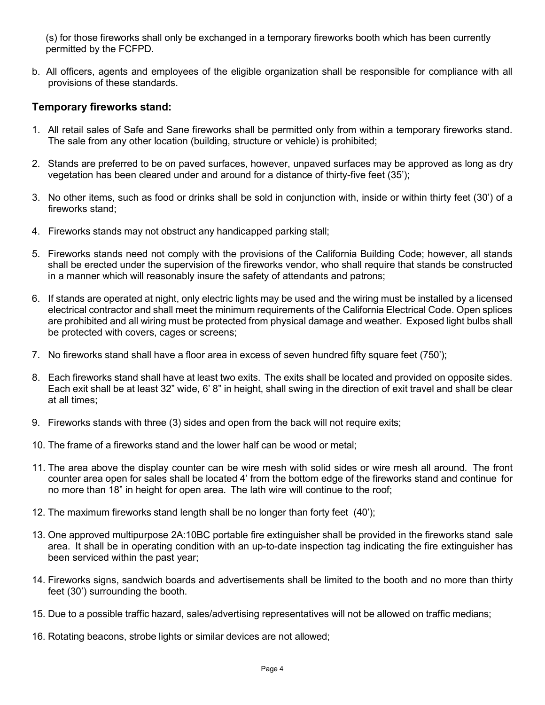(s) for those fireworks shall only be exchanged in a temporary fireworks booth which has been currently permitted by the FCFPD.

b. All officers, agents and employees of the eligible organization shall be responsible for compliance with all provisions of these standards.

### **Temporary fireworks stand:**

- 1. All retail sales of Safe and Sane fireworks shall be permitted only from within a temporary fireworks stand. The sale from any other location (building, structure or vehicle) is prohibited;
- 2. Stands are preferred to be on paved surfaces, however, unpaved surfaces may be approved as long as dry vegetation has been cleared under and around for a distance of thirty-five feet (35');
- 3. No other items, such as food or drinks shall be sold in conjunction with, inside or within thirty feet (30') of a fireworks stand;
- 4. Fireworks stands may not obstruct any handicapped parking stall;
- 5. Fireworks stands need not comply with the provisions of the California Building Code; however, all stands shall be erected under the supervision of the fireworks vendor, who shall require that stands be constructed in a manner which will reasonably insure the safety of attendants and patrons;
- 6. If stands are operated at night, only electric lights may be used and the wiring must be installed by a licensed electrical contractor and shall meet the minimum requirements of the California Electrical Code. Open splices are prohibited and all wiring must be protected from physical damage and weather. Exposed light bulbs shall be protected with covers, cages or screens;
- 7. No fireworks stand shall have a floor area in excess of seven hundred fifty square feet (750');
- 8. Each fireworks stand shall have at least two exits. The exits shall be located and provided on opposite sides. Each exit shall be at least 32" wide, 6' 8" in height, shall swing in the direction of exit travel and shall be clear at all times;
- 9. Fireworks stands with three (3) sides and open from the back will not require exits;
- 10. The frame of a fireworks stand and the lower half can be wood or metal;
- 11. The area above the display counter can be wire mesh with solid sides or wire mesh all around. The front counter area open for sales shall be located 4' from the bottom edge of the fireworks stand and continue for no more than 18" in height for open area. The lath wire will continue to the roof;
- 12. The maximum fireworks stand length shall be no longer than forty feet (40');
- 13. One approved multipurpose 2A:10BC portable fire extinguisher shall be provided in the fireworks stand sale area. It shall be in operating condition with an up-to-date inspection tag indicating the fire extinguisher has been serviced within the past year;
- 14. Fireworks signs, sandwich boards and advertisements shall be limited to the booth and no more than thirty feet (30') surrounding the booth.
- 15. Due to a possible traffic hazard, sales/advertising representatives will not be allowed on traffic medians;
- 16. Rotating beacons, strobe lights or similar devices are not allowed;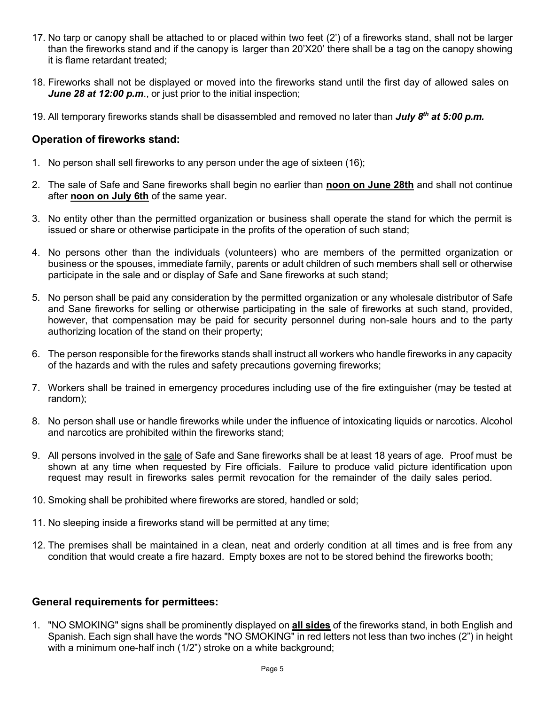- 17. No tarp or canopy shall be attached to or placed within two feet (2') of a fireworks stand, shall not be larger than the fireworks stand and if the canopy is larger than 20'X20' there shall be a tag on the canopy showing it is flame retardant treated;
- 18. Fireworks shall not be displayed or moved into the fireworks stand until the first day of allowed sales on *June 28 at 12:00 p.m*., or just prior to the initial inspection;
- 19. All temporary fireworks stands shall be disassembled and removed no later than *July 8th at 5:00 p.m.*

### **Operation of fireworks stand:**

- 1. No person shall sell fireworks to any person under the age of sixteen (16);
- 2. The sale of Safe and Sane fireworks shall begin no earlier than **noon on June 28th** and shall not continue after **noon on July 6th** of the same year.
- 3. No entity other than the permitted organization or business shall operate the stand for which the permit is issued or share or otherwise participate in the profits of the operation of such stand;
- 4. No persons other than the individuals (volunteers) who are members of the permitted organization or business or the spouses, immediate family, parents or adult children of such members shall sell or otherwise participate in the sale and or display of Safe and Sane fireworks at such stand;
- 5. No person shall be paid any consideration by the permitted organization or any wholesale distributor of Safe and Sane fireworks for selling or otherwise participating in the sale of fireworks at such stand, provided, however, that compensation may be paid for security personnel during non-sale hours and to the party authorizing location of the stand on their property;
- 6. The person responsible for the fireworks stands shall instruct all workers who handle fireworks in any capacity of the hazards and with the rules and safety precautions governing fireworks;
- 7. Workers shall be trained in emergency procedures including use of the fire extinguisher (may be tested at random);
- 8. No person shall use or handle fireworks while under the influence of intoxicating liquids or narcotics. Alcohol and narcotics are prohibited within the fireworks stand;
- 9. All persons involved in the sale of Safe and Sane fireworks shall be at least 18 years of age. Proof must be shown at any time when requested by Fire officials. Failure to produce valid picture identification upon request may result in fireworks sales permit revocation for the remainder of the daily sales period.
- 10. Smoking shall be prohibited where fireworks are stored, handled or sold;
- 11. No sleeping inside a fireworks stand will be permitted at any time;
- 12. The premises shall be maintained in a clean, neat and orderly condition at all times and is free from any condition that would create a fire hazard. Empty boxes are not to be stored behind the fireworks booth;

#### **General requirements for permittees:**

1. "NO SMOKING" signs shall be prominently displayed on **all sides** of the fireworks stand, in both English and Spanish. Each sign shall have the words "NO SMOKING" in red letters not less than two inches (2") in height with a minimum one-half inch (1/2") stroke on a white background;